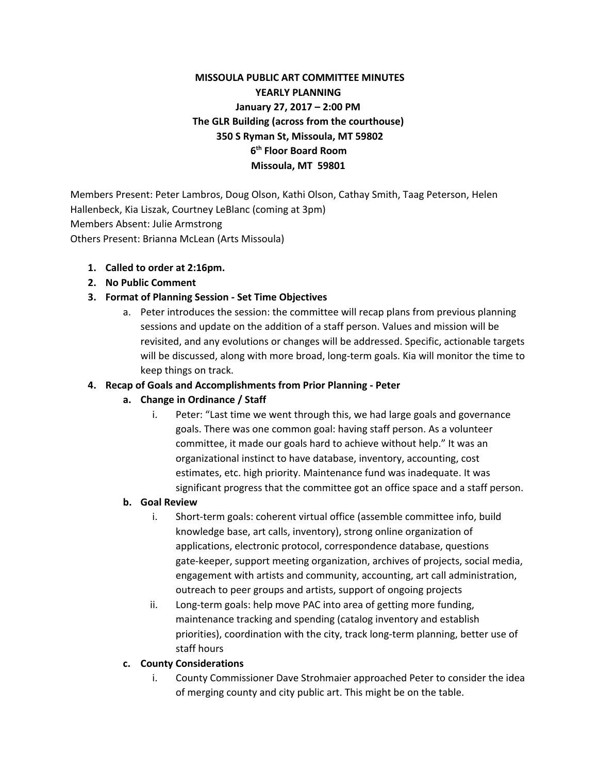## **MISSOULA PUBLIC ART COMMITTEE MINUTES YEARLY PLANNING January 27, 2017 – 2:00 PM The GLR Building (across from the courthouse) 350 S Ryman St, Missoula, MT 59802 6 th Floor Board Room Missoula, MT 59801**

Members Present: Peter Lambros, Doug Olson, Kathi Olson, Cathay Smith, Taag Peterson, Helen Hallenbeck, Kia Liszak, Courtney LeBlanc (coming at 3pm) Members Absent: Julie Armstrong Others Present: Brianna McLean (Arts Missoula)

#### **1. Called to order at 2:16pm.**

**2. No Public Comment**

#### **3. Format of Planning Session - Set Time Objectives**

a. Peter introduces the session: the committee will recap plans from previous planning sessions and update on the addition of a staff person. Values and mission will be revisited, and any evolutions or changes will be addressed. Specific, actionable targets will be discussed, along with more broad, long-term goals. Kia will monitor the time to keep things on track.

#### **4. Recap of Goals and Accomplishments from Prior Planning - Peter**

#### **a. Change in Ordinance / Staff**

i. Peter: "Last time we went through this, we had large goals and governance goals. There was one common goal: having staff person. As a volunteer committee, it made our goals hard to achieve without help." It was an organizational instinct to have database, inventory, accounting, cost estimates, etc. high priority. Maintenance fund was inadequate. It was significant progress that the committee got an office space and a staff person.

#### **b. Goal Review**

- i. Short-term goals: coherent virtual office (assemble committee info, build knowledge base, art calls, inventory), strong online organization of applications, electronic protocol, correspondence database, questions gate-keeper, support meeting organization, archives of projects, social media, engagement with artists and community, accounting, art call administration, outreach to peer groups and artists, support of ongoing projects
- ii. Long-term goals: help move PAC into area of getting more funding, maintenance tracking and spending (catalog inventory and establish priorities), coordination with the city, track long-term planning, better use of staff hours

#### **c. County Considerations**

i. County Commissioner Dave Strohmaier approached Peter to consider the idea of merging county and city public art. This might be on the table.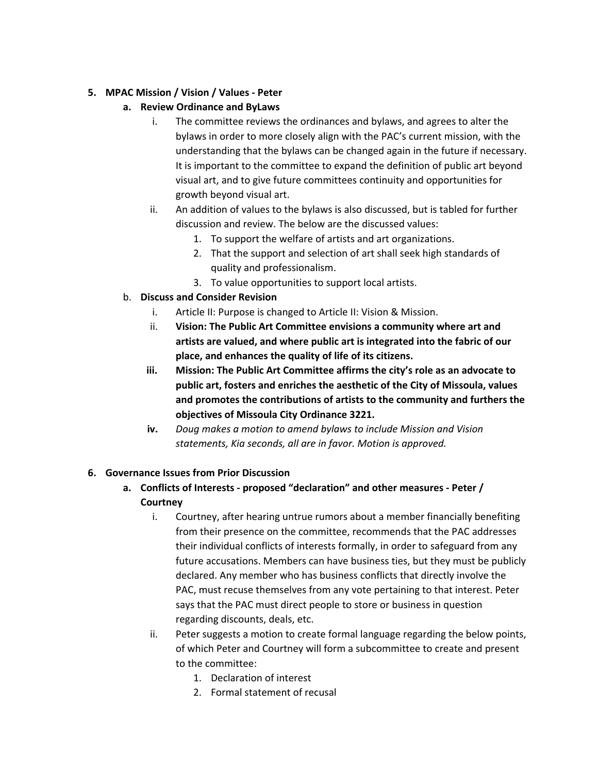#### **5. MPAC Mission / Vision / Values - Peter**

- **a. Review Ordinance and ByLaws**
	- i. The committee reviews the ordinances and bylaws, and agrees to alter the bylaws in order to more closely align with the PAC's current mission, with the understanding that the bylaws can be changed again in the future if necessary. It is important to the committee to expand the definition of public art beyond visual art, and to give future committees continuity and opportunities for growth beyond visual art.
	- ii. An addition of values to the bylaws is also discussed, but is tabled for further discussion and review. The below are the discussed values:
		- 1. To support the welfare of artists and art organizations.
		- 2. That the support and selection of art shall seek high standards of quality and professionalism.
		- 3. To value opportunities to support local artists.
- b. **Discuss and Consider Revision**
	- i. Article II: Purpose is changed to Article II: Vision & Mission.
	- ii. **Vision: The Public Art Committee envisions a community where art and artists are valued, and where public art is integrated into the fabric of our place, and enhances the quality of life of its citizens.**
	- **iii. Mission: The Public Art Committee affirms the city's role as an advocate to public art, fosters and enriches the aesthetic of the City of Missoula, values and promotes the contributions of artists to the community and furthers the objectives of Missoula City Ordinance 3221.**
	- **iv.** *Doug makes a motion to amend bylaws to include Mission and Vision statements, Kia seconds, all are in favor. Motion is approved.*

#### **6. Governance Issues from Prior Discussion**

- **a. Conflicts of Interests proposed "declaration" and other measures Peter / Courtney**
	- i. Courtney, after hearing untrue rumors about a member financially benefiting from their presence on the committee, recommends that the PAC addresses their individual conflicts of interests formally, in order to safeguard from any future accusations. Members can have business ties, but they must be publicly declared. Any member who has business conflicts that directly involve the PAC, must recuse themselves from any vote pertaining to that interest. Peter says that the PAC must direct people to store or business in question regarding discounts, deals, etc.
	- ii. Peter suggests a motion to create formal language regarding the below points, of which Peter and Courtney will form a subcommittee to create and present to the committee:
		- 1. Declaration of interest
		- 2. Formal statement of recusal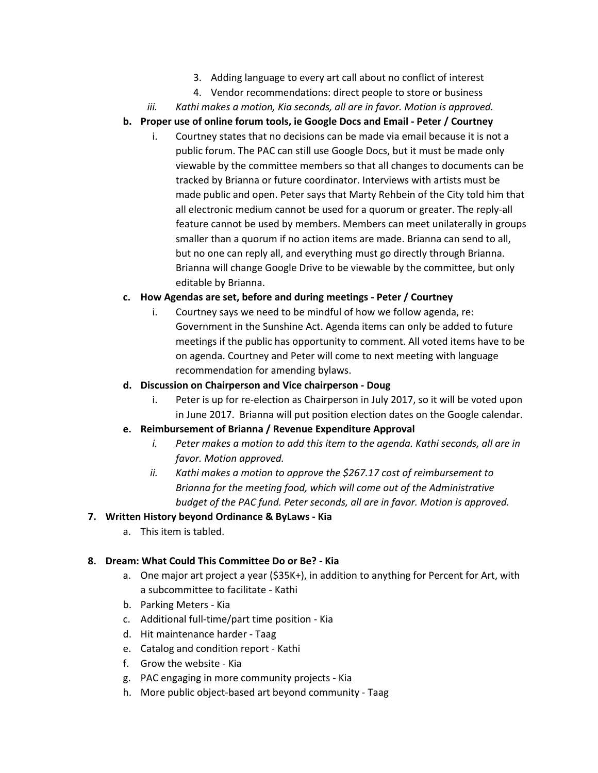- 3. Adding language to every art call about no conflict of interest
- 4. Vendor recommendations: direct people to store or business
- *iii. Kathi makes a motion, Kia seconds, all are in favor. Motion is approved.*
- **b. Proper use of online forum tools, ie Google Docs and Email Peter / Courtney**
	- i. Courtney states that no decisions can be made via email because it is not a public forum. The PAC can still use Google Docs, but it must be made only viewable by the committee members so that all changes to documents can be tracked by Brianna or future coordinator. Interviews with artists must be made public and open. Peter says that Marty Rehbein of the City told him that all electronic medium cannot be used for a quorum or greater. The reply-all feature cannot be used by members. Members can meet unilaterally in groups smaller than a quorum if no action items are made. Brianna can send to all, but no one can reply all, and everything must go directly through Brianna. Brianna will change Google Drive to be viewable by the committee, but only editable by Brianna.

## **c. How Agendas are set, before and during meetings - Peter / Courtney**

i. Courtney says we need to be mindful of how we follow agenda, re: Government in the Sunshine Act. Agenda items can only be added to future meetings if the public has opportunity to comment. All voted items have to be on agenda. Courtney and Peter will come to next meeting with language recommendation for amending bylaws.

#### **d. Discussion on Chairperson and Vice chairperson - Doug**

i. Peter is up for re-election as Chairperson in July 2017, so it will be voted upon in June 2017. Brianna will put position election dates on the Google calendar.

# **e. Reimbursement of Brianna / Revenue Expenditure Approval**

- *i. Peter makes a motion to add this item to the agenda. Kathi seconds, all are in favor. Motion approved.*
- *ii. Kathi makes a motion to approve the \$267.17 cost of reimbursement to Brianna for the meeting food, which will come out of the Administrative budget of the PAC fund. Peter seconds, all are in favor. Motion is approved.*

# **7. Written History beyond Ordinance & ByLaws - Kia**

a. This item is tabled.

# **8. Dream: What Could This Committee Do or Be? - Kia**

- a. One major art project a year (\$35K+), in addition to anything for Percent for Art, with a subcommittee to facilitate - Kathi
- b. Parking Meters Kia
- c. Additional full-time/part time position Kia
- d. Hit maintenance harder Taag
- e. Catalog and condition report Kathi
- f. Grow the website Kia
- g. PAC engaging in more community projects Kia
- h. More public object-based art beyond community Taag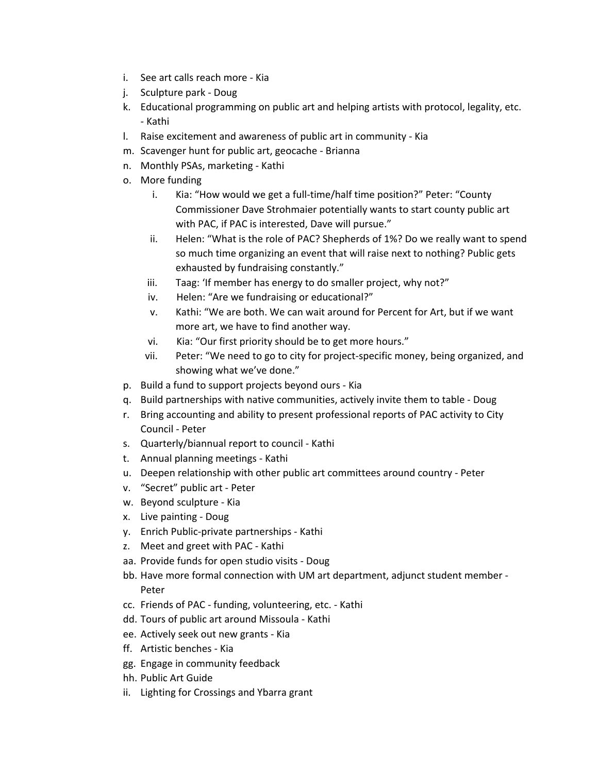- i. See art calls reach more Kia
- j. Sculpture park Doug
- k. Educational programming on public art and helping artists with protocol, legality, etc. - Kathi
- l. Raise excitement and awareness of public art in community Kia
- m. Scavenger hunt for public art, geocache Brianna
- n. Monthly PSAs, marketing Kathi
- o. More funding
	- i. Kia: "How would we get a full-time/half time position?" Peter: "County Commissioner Dave Strohmaier potentially wants to start county public art with PAC, if PAC is interested, Dave will pursue."
	- ii. Helen: "What is the role of PAC? Shepherds of 1%? Do we really want to spend so much time organizing an event that will raise next to nothing? Public gets exhausted by fundraising constantly."
	- iii. Taag: 'If member has energy to do smaller project, why not?"
	- iv. Helen: "Are we fundraising or educational?"
	- v. Kathi: "We are both. We can wait around for Percent for Art, but if we want more art, we have to find another way.
	- vi. Kia: "Our first priority should be to get more hours."
	- vii. Peter: "We need to go to city for project-specific money, being organized, and showing what we've done."
- p. Build a fund to support projects beyond ours Kia
- q. Build partnerships with native communities, actively invite them to table Doug
- r. Bring accounting and ability to present professional reports of PAC activity to City Council - Peter
- s. Quarterly/biannual report to council Kathi
- t. Annual planning meetings Kathi
- u. Deepen relationship with other public art committees around country Peter
- v. "Secret" public art Peter
- w. Beyond sculpture Kia
- x. Live painting Doug
- y. Enrich Public-private partnerships Kathi
- z. Meet and greet with PAC Kathi
- aa. Provide funds for open studio visits Doug
- bb. Have more formal connection with UM art department, adjunct student member Peter
- cc. Friends of PAC funding, volunteering, etc. Kathi
- dd. Tours of public art around Missoula Kathi
- ee. Actively seek out new grants Kia
- ff. Artistic benches Kia
- gg. Engage in community feedback
- hh. Public Art Guide
- ii. Lighting for Crossings and Ybarra grant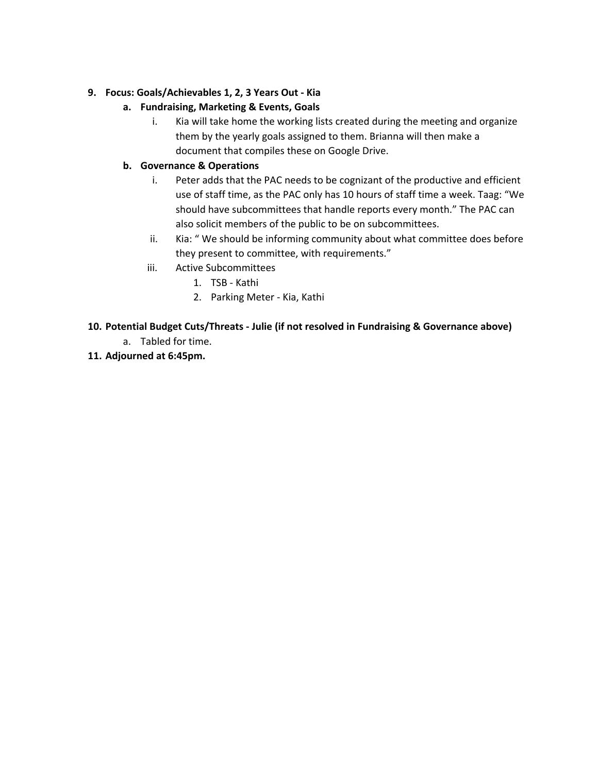#### **9. Focus: Goals/Achievables 1, 2, 3 Years Out - Kia**

## **a. Fundraising, Marketing & Events, Goals**

i. Kia will take home the working lists created during the meeting and organize them by the yearly goals assigned to them. Brianna will then make a document that compiles these on Google Drive.

## **b. Governance & Operations**

- i. Peter adds that the PAC needs to be cognizant of the productive and efficient use of staff time, as the PAC only has 10 hours of staff time a week. Taag: "We should have subcommittees that handle reports every month." The PAC can also solicit members of the public to be on subcommittees.
- ii. Kia: " We should be informing community about what committee does before they present to committee, with requirements."
- iii. Active Subcommittees
	- 1. TSB Kathi
		- 2. Parking Meter Kia, Kathi

## **10. Potential Budget Cuts/Threats - Julie (if not resolved in Fundraising & Governance above)**

- a. Tabled for time.
- **11. Adjourned at 6:45pm.**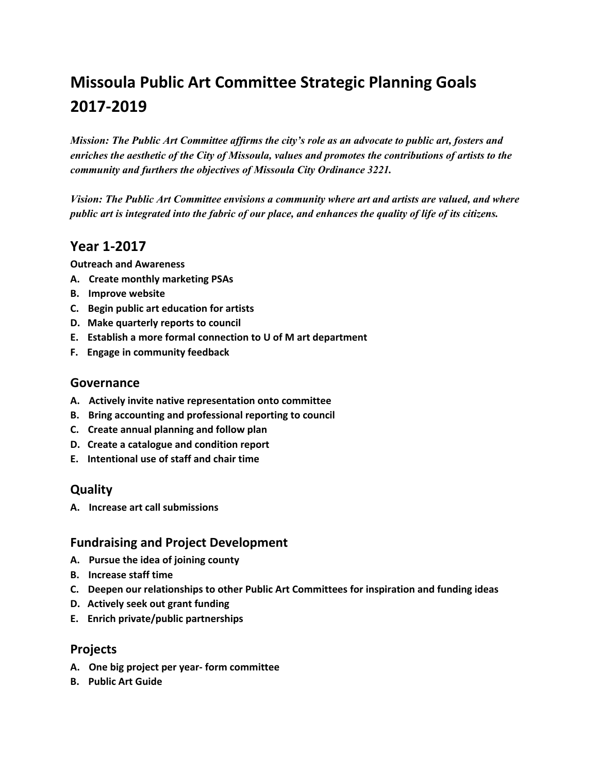# **Missoula Public Art Committee Strategic Planning Goals 2017-2019**

*Mission: The Public Art Committee affirms the city's role as an advocate to public art, fosters and enriches the aesthetic of the City of Missoula, values and promotes the contributions of artists to the community and furthers the objectives of Missoula City Ordinance 3221.*

 *Vision: The Public Art Committee envisions a community where art and artists are valued, and where public art is integrated into the fabric of our place, and enhances the quality of life of its citizens.*

# **Year 1-2017**

**Outreach and Awareness**

- **A. Create monthly marketing PSAs**
- **B. Improve website**
- **C. Begin public art education for artists**
- **D. Make quarterly reports to council**
- **E. Establish a more formal connection to U of M art department**
- **F. Engage in community feedback**

#### **Governance**

- **A. Actively invite native representation onto committee**
- **B. Bring accounting and professional reporting to council**
- **C. Create annual planning and follow plan**
- **D. Create a catalogue and condition report**
- **E. Intentional use of staff and chair time**

## **Quality**

**A. Increase art call submissions**

## **Fundraising and Project Development**

- **A. Pursue the idea of joining county**
- **B. Increase staff time**
- **C. Deepen our relationships to other Public Art Committees for inspiration and funding ideas**
- **D. Actively seek out grant funding**
- **E. Enrich private/public partnerships**

## **Projects**

- **A. One big project per year- form committee**
- **B. Public Art Guide**